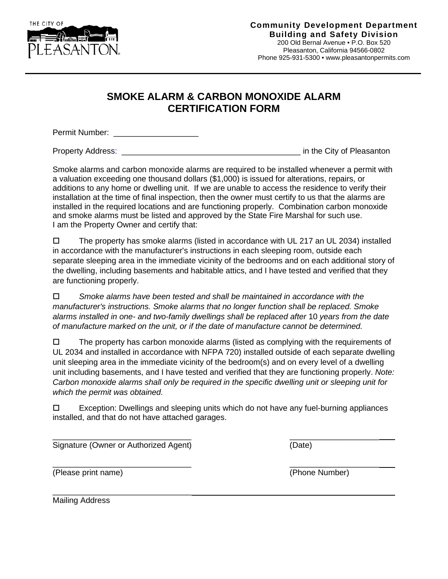

## **SMOKE ALARM & CARBON MONOXIDE ALARM CERTIFICATION FORM**

Permit Number: \_\_\_\_\_\_\_\_\_\_\_\_\_\_\_\_\_\_\_

Property Address: **Property Address: Property Address: Example 20** in the City of Pleasanton

Smoke alarms and carbon monoxide alarms are required to be installed whenever a permit with a valuation exceeding one thousand dollars (\$1,000) is issued for alterations, repairs, or additions to any home or dwelling unit. If we are unable to access the residence to verify their installation at the time of final inspection, then the owner must certify to us that the alarms are installed in the required locations and are functioning properly. Combination carbon monoxide and smoke alarms must be listed and approved by the State Fire Marshal for such use. I am the Property Owner and certify that:

 $\square$  The property has smoke alarms (listed in accordance with UL 217 an UL 2034) installed in accordance with the manufacturer's instructions in each sleeping room, outside each separate sleeping area in the immediate vicinity of the bedrooms and on each additional story of the dwelling, including basements and habitable attics, and I have tested and verified that they are functioning properly.

 *Smoke alarms have been tested and shall be maintained in accordance with the manufacturer's instructions. Smoke alarms that no longer function shall be replaced. Smoke alarms installed in one- and two-family dwellings shall be replaced after* 10 *years from the date of manufacture marked on the unit, or if the date of manufacture cannot be determined.*

 $\Box$  The property has carbon monoxide alarms (listed as complying with the requirements of UL 2034 and installed in accordance with NFPA 720) installed outside of each separate dwelling unit sleeping area in the immediate vicinity of the bedroom(s) and on every level of a dwelling unit including basements, and I have tested and verified that they are functioning properly. *Note: Carbon monoxide alarms shall only be required in the specific dwelling unit or sleeping unit for which the permit was obtained.*

 $\Box$  Exception: Dwellings and sleeping units which do not have any fuel-burning appliances installed, and that do not have attached garages.

\_\_\_\_\_\_\_\_\_\_\_\_\_\_\_\_\_\_\_\_\_\_\_\_\_\_\_\_\_\_\_ \_\_\_\_\_\_\_\_\_\_\_\_\_\_\_\_\_\_\_\_ Signature (Owner or Authorized Agent) (Date)

(Please print name) (Phone Number)

\_\_\_\_\_\_\_\_\_\_\_\_\_\_\_\_\_\_\_\_\_\_\_\_\_\_\_\_\_\_\_ \_\_\_\_\_\_\_\_\_\_\_\_\_\_\_\_\_\_\_\_

\_\_\_\_\_\_\_\_\_\_\_\_\_\_\_\_\_\_\_\_\_\_\_\_\_\_\_\_\_\_\_ Mailing Address